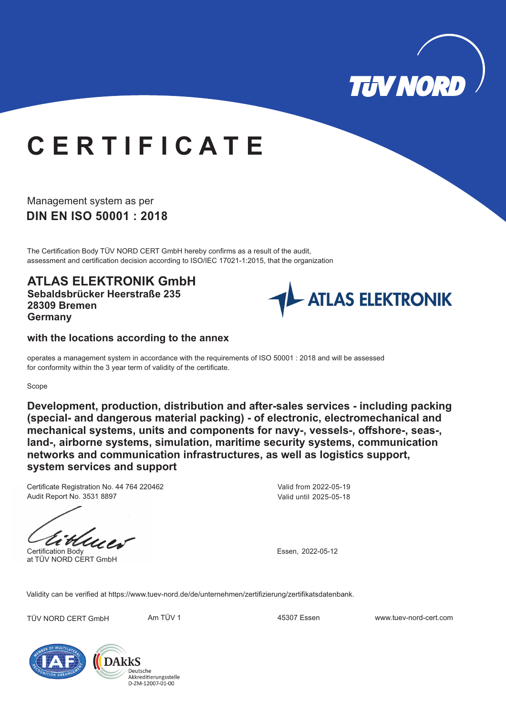

# **C E R T I F I C A T E**

**DIN EN ISO 50001 : 2018** Management system as per

The Certification Body TÜV NORD CERT GmbH hereby confirms as a result of the audit, assessment and certification decision according to ISO/IEC 17021-1:2015, that the organization

**ATLAS ELEKTRONIK GmbH Sebaldsbrücker Heerstraße 235 28309 Bremen Germany**



### **with the locations according to the annex**

operates a management system in accordance with the requirements of ISO 50001 : 2018 and will be assessed for conformity within the 3 year term of validity of the certificate.

#### Scope

**Development, production, distribution and after-sales services - including packing (special- and dangerous material packing) - of electronic, electromechanical and mechanical systems, units and components for navy-, vessels-, offshore-, seas-, land-, airborne systems, simulation, maritime security systems, communication networks and communication infrastructures, as well as logistics support, system services and support**

Certificate Registration No. 44 764 220462 Audit Report No. 3531 8897

Certification Body at TÜV NORD CERT GmbH

Valid from 2022-05-19 Valid until 2025-05-18

Essen, 2022-05-12

Validity can be verified at https://www.tuev-nord.de/de/unternehmen/zertifizierung/zertifikatsdatenbank.

TÜV NORD CERT GmbH Am TÜV 1 45307 Essen www.tuev-nord-cert.com